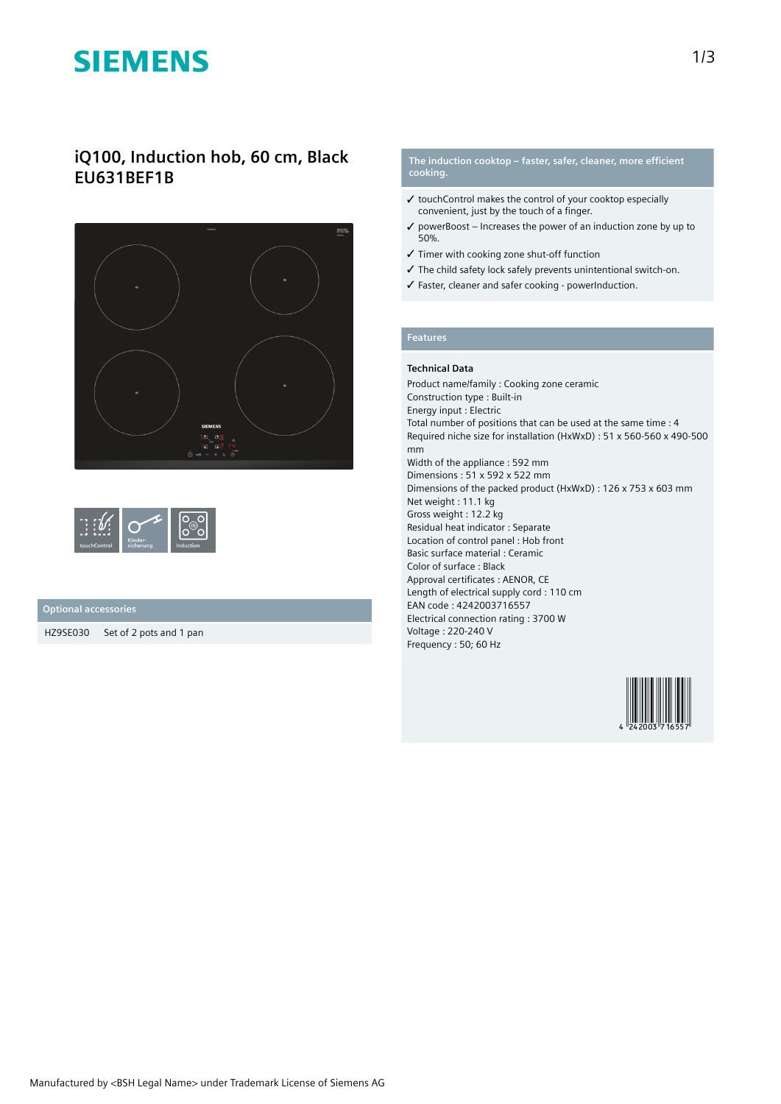# **SIEMENS**

# **iQ100, Induction hob, 60 cm, Black EU631BEF1B**



| <b><i><u>A</u></i></b><br>touchControl | Kinder-<br>sicherung | Induction |
|----------------------------------------|----------------------|-----------|
|----------------------------------------|----------------------|-----------|

## **Optional accessories**

HZ9SE030 Set of 2 pots and 1 pan

### **The induction cooktop – faster, safer, cleaner, more efficient cooking.**

- ✓ touchControl makes the control of your cooktop especially convenient, just by the touch of a finger.
- $\checkmark$  powerBoost Increases the power of an induction zone by up to 50%.
- ✓ Timer with cooking zone shut-off function
- ✓ The child safety lock safely prevents unintentional switch-on.
- ✓ Faster, cleaner and safer cooking powerInduction.

## **Features**

### **Technical Data**

Product name/family : Cooking zone ceramic Construction type : Built-in Energy input : Electric Total number of positions that can be used at the same time : 4 Required niche size for installation (HxWxD) : 51 x 560-560 x 490-500 mm Width of the appliance : 592 mm Dimensions : 51 x 592 x 522 mm Dimensions of the packed product (HxWxD) : 126 x 753 x 603 mm Net weight : 11.1 kg Gross weight : 12.2 kg Residual heat indicator : Separate Location of control panel : Hob front Basic surface material : Ceramic Color of surface : Black Approval certificates : AENOR, CE Length of electrical supply cord : 110 cm EAN code : 4242003716557 Electrical connection rating : 3700 W Voltage : 220-240 V Frequency : 50; 60 Hz

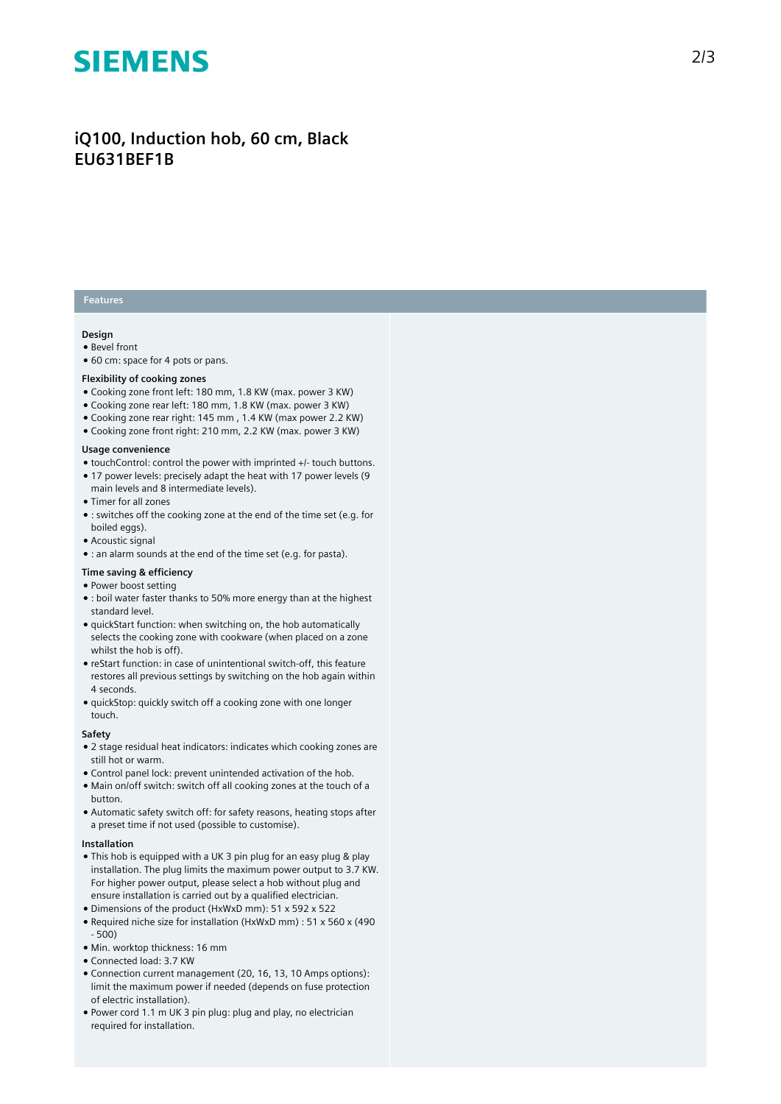# **SIEMENS**

# iQ100, Induction hob, 60 cm, Black **EU631BEF1B**

## **Features**

### **Design**

- Bevel front
- 60 cm: space for 4 pots or pans.

#### Flexibility of cooking zones

- Cooking zone front left: 180 mm, 1.8 KW (max. power 3 KW)
- Cooking zone rear left: 180 mm, 1.8 KW (max. power 3 KW)
- Cooking zone rear right: 145 mm, 1.4 KW (max power 2.2 KW)
- $\bullet$  Cooking zone front right: 210 mm, 2.2 KW (max. power 3 KW)

#### Usage convenience

- touchControl: control the power with imprinted +/- touch buttons.
- 17 power levels: precisely adapt the heat with 17 power levels (9 main levels and 8 intermediate levels).
- Timer for all zones
- : switches off the cooking zone at the end of the time set (e.g. for boiled eggs).
- Acoustic signal
- : an alarm sounds at the end of the time set (e.g. for pasta).

#### **T i m e s a v i n g & e f fi c i e n c y**

#### • Power boost setting

- $\bullet$  : boil water faster thanks to 50% more energy than at the highest standard level.
- quickStart function: when switching on, the hob automatically selects the cooking zone with cookware (when placed on a zone whilst the hob is off).
- reStart function: in case of unintentional switch-off, this feature restores all previous settings by switching on the hob again within 4 seconds.
- $\bullet$  quickStop: quickly switch off a cooking zone with one longer touch.

#### **S a f e t y**

- $\bullet$  2 stage residual heat indicators: indicates which cooking zones are still hot or warm.
- Control panel lock: prevent unintended activation of the hob.
- Main on/off switch: switch off all cooking zones at the touch of a button.
- Automatic safety switch off: for safety reasons, heating stops after a preset time if not used (possible to customise).

#### **I n s t a l l a t i o n**

- $\bullet$  This hob is equipped with a UK 3 pin plug for an easy plug & play installation. The plug limits the maximum power output to 3.7 KW. For higher power output, please select a hob without plug and ensure installation is carried out by a qualified electrician.
- Dimensions of the product (HxWxD mm): 51 x 592 x 522
- Required niche size for installation (HxWxD mm) : 51 x 560 x (490 - 500)
- Min. worktop thickness: 16 mm
- Connected load: 3.7 KW
- Connection current management (20, 16, 13, 10 Amps options): limit the maximum power if needed (depends on fuse protection of electric installation).
- Power cord 1.1 m UK 3 pin plug: plug and play, no electrician required for installation.